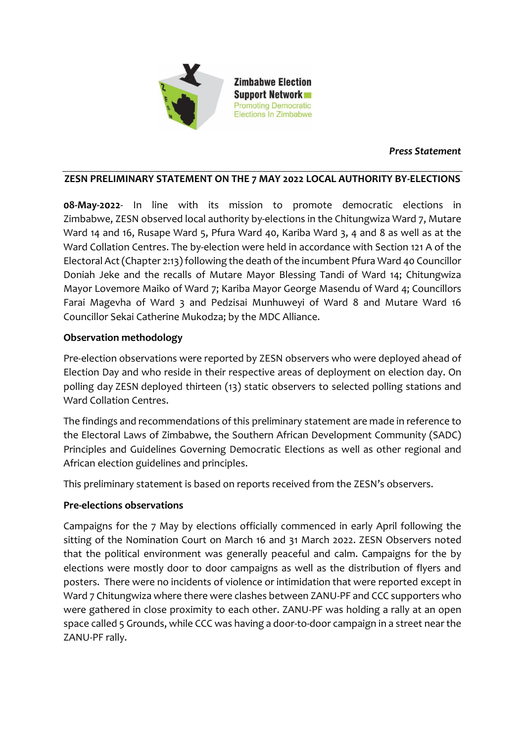

### *Press Statement*

#### **ZESN PRELIMINARY STATEMENT ON THE 7 MAY 2022 LOCAL AUTHORITY BY-ELECTIONS**

**08-May-2022**- In line with its mission to promote democratic elections in Zimbabwe, ZESN observed local authority by-elections in the Chitungwiza Ward 7, Mutare Ward 14 and 16, Rusape Ward 5, Pfura Ward 40, Kariba Ward 3, 4 and 8 as well as at the Ward Collation Centres. The by-election were held in accordance with Section 121 A of the Electoral Act (Chapter 2:13) following the death of the incumbent Pfura Ward 40 Councillor Doniah Jeke and the recalls of Mutare Mayor Blessing Tandi of Ward 14; Chitungwiza Mayor Lovemore Maiko of Ward 7; Kariba Mayor George Masendu of Ward 4; Councillors Farai Magevha of Ward 3 and Pedzisai Munhuweyi of Ward 8 and Mutare Ward 16 Councillor Sekai Catherine Mukodza; by the MDC Alliance.

#### **Observation methodology**

Pre-election observations were reported by ZESN observers who were deployed ahead of Election Day and who reside in their respective areas of deployment on election day. On polling day ZESN deployed thirteen (13) static observers to selected polling stations and Ward Collation Centres.

The findings and recommendations of this preliminary statement are made in reference to the Electoral Laws of Zimbabwe, the Southern African Development Community (SADC) Principles and Guidelines Governing Democratic Elections as well as other regional and African election guidelines and principles.

This preliminary statement is based on reports received from the ZESN's observers.

#### **Pre-elections observations**

Campaigns for the 7 May by elections officially commenced in early April following the sitting of the Nomination Court on March 16 and 31 March 2022. ZESN Observers noted that the political environment was generally peaceful and calm. Campaigns for the by elections were mostly door to door campaigns as well as the distribution of flyers and posters. There were no incidents of violence or intimidation that were reported except in Ward 7 Chitungwiza where there were clashes between ZANU-PF and CCC supporters who were gathered in close proximity to each other. ZANU-PF was holding a rally at an open space called 5 Grounds, while CCC was having a door-to-door campaign in a street near the ZANU-PF rally.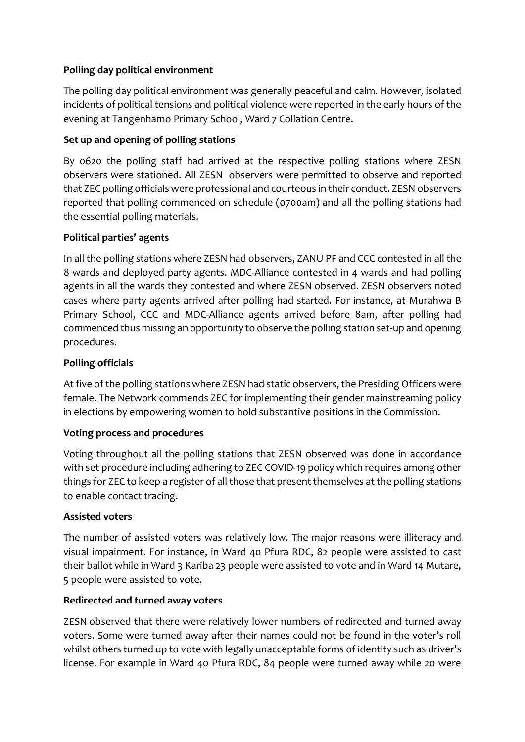# **Polling day political environment**

The polling day political environment was generally peaceful and calm. However, isolated incidents of political tensions and political violence were reported in the early hours of the evening at Tangenhamo Primary School, Ward 7 Collation Centre.

# **Set up and opening of polling stations**

By 0620 the polling staff had arrived at the respective polling stations where ZESN observers were stationed. All ZESN observers were permitted to observe and reported that ZEC polling officials were professional and courteous in their conduct. ZESN observers reported that polling commenced on schedule (0700am) and all the polling stations had the essential polling materials.

# **Political parties' agents**

In all the polling stations where ZESN had observers, ZANU PF and CCC contested in all the 8 wards and deployed party agents. MDC-Alliance contested in 4 wards and had polling agents in all the wards they contested and where ZESN observed. ZESN observers noted cases where party agents arrived after polling had started. For instance, at Murahwa B Primary School, CCC and MDC-Alliance agents arrived before 8am, after polling had commenced thus missing an opportunity to observe the polling station set-up and opening procedures.

# **Polling officials**

At five of the polling stations where ZESN had static observers, the Presiding Officers were female. The Network commends ZEC for implementing their gender mainstreaming policy in elections by empowering women to hold substantive positions in the Commission.

### **Voting process and procedures**

Voting throughout all the polling stations that ZESN observed was done in accordance with set procedure including adhering to ZEC COVID-19 policy which requires among other things for ZEC to keep a register of all those that present themselves at the polling stations to enable contact tracing.

### **Assisted voters**

The number of assisted voters was relatively low. The major reasons were illiteracy and visual impairment. For instance, in Ward 40 Pfura RDC, 82 people were assisted to cast their ballot while in Ward 3 Kariba 23 people were assisted to vote and in Ward 14 Mutare, 5 people were assisted to vote.

### **Redirected and turned away voters**

ZESN observed that there were relatively lower numbers of redirected and turned away voters. Some were turned away after their names could not be found in the voter's roll whilst others turned up to vote with legally unacceptable forms of identity such as driver's license. For example in Ward 40 Pfura RDC, 84 people were turned away while 20 were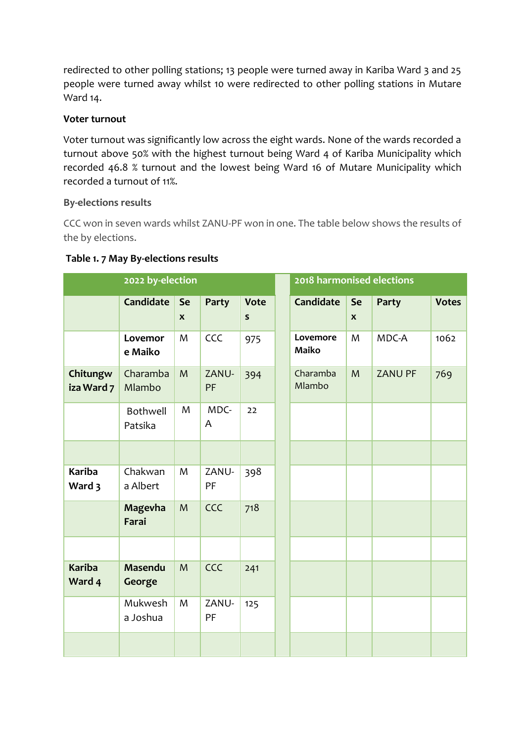redirected to other polling stations; 13 people were turned away in Kariba Ward 3 and 25 people were turned away whilst 10 were redirected to other polling stations in Mutare Ward 14.

### **Voter turnout**

Voter turnout was significantly low across the eight wards. None of the wards recorded a turnout above 50% with the highest turnout being Ward 4 of Kariba Municipality which recorded 46.8 % turnout and the lowest being Ward 16 of Mutare Municipality which recorded a turnout of 11%.

# **By-elections results**

CCC won in seven wards whilst ZANU-PF won in one. The table below shows the results of the by elections.

| 2022 by-election        |                         |                                 |             |                        | 2018 harmonised elections |                          |                |              |  |
|-------------------------|-------------------------|---------------------------------|-------------|------------------------|---------------------------|--------------------------|----------------|--------------|--|
|                         | <b>Candidate</b>        | <b>Se</b><br>$\pmb{\mathsf{x}}$ | Party       | <b>Vote</b><br>$\sf s$ | <b>Candidate</b>          | Se<br>$\pmb{\mathsf{x}}$ | Party          | <b>Votes</b> |  |
|                         | Lovemor<br>e Maiko      | M                               | CCC         | 975                    | Lovemore<br><b>Maiko</b>  | M                        | MDC-A          | 1062         |  |
| Chitungw<br>iza Ward 7  | Charamba<br>Mlambo      | M                               | ZANU-<br>PF | 394                    | Charamba<br>Mlambo        | M                        | <b>ZANU PF</b> | 769          |  |
|                         | Bothwell<br>Patsika     | M                               | MDC-<br>A   | 22                     |                           |                          |                |              |  |
|                         |                         |                                 |             |                        |                           |                          |                |              |  |
| <b>Kariba</b><br>Ward 3 | Chakwan<br>a Albert     | M                               | ZANU-<br>PF | 398                    |                           |                          |                |              |  |
|                         | <b>Magevha</b><br>Farai | M                               | CCC         | 718                    |                           |                          |                |              |  |
|                         |                         |                                 |             |                        |                           |                          |                |              |  |
| <b>Kariba</b><br>Ward 4 | Masendu<br>George       | M                               | CCC         | 241                    |                           |                          |                |              |  |
|                         | Mukwesh<br>a Joshua     | M                               | ZANU-<br>PF | 125                    |                           |                          |                |              |  |
|                         |                         |                                 |             |                        |                           |                          |                |              |  |

#### **Table 1. 7 May By-elections results**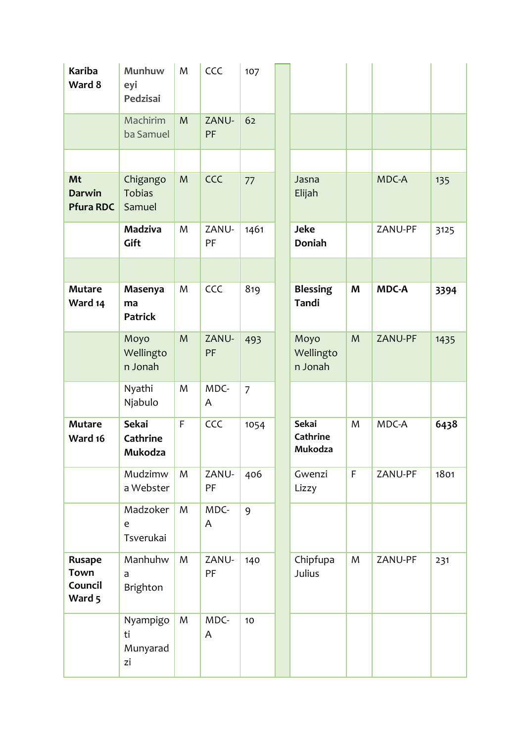| <b>Kariba</b><br>Ward 8                           | Munhuw<br>eyi<br>Pedzisai           | M           | CCC         | 107            |                                     |             |              |      |
|---------------------------------------------------|-------------------------------------|-------------|-------------|----------------|-------------------------------------|-------------|--------------|------|
|                                                   | Machirim<br>ba Samuel               | M           | ZANU-<br>PF | 62             |                                     |             |              |      |
|                                                   |                                     |             |             |                |                                     |             |              |      |
| Mt<br><b>Darwin</b><br><b>Pfura RDC</b>           | Chigango<br><b>Tobias</b><br>Samuel | M           | CCC         | 77             | Jasna<br>Elijah                     |             | MDC-A        | 135  |
|                                                   | <b>Madziva</b><br>Gift              | M           | ZANU-<br>PF | 1461           | <b>Jeke</b><br><b>Doniah</b>        |             | ZANU-PF      | 3125 |
|                                                   |                                     |             |             |                |                                     |             |              |      |
| <b>Mutare</b><br>Ward 14                          | Masenya<br>ma<br><b>Patrick</b>     | M           | CCC         | 819            | <b>Blessing</b><br>Tandi            | M           | <b>MDC-A</b> | 3394 |
|                                                   | Moyo<br>Wellingto<br>n Jonah        | M           | ZANU-<br>PF | 493            | Moyo<br>Wellingto<br>n Jonah        | M           | ZANU-PF      | 1435 |
|                                                   | Nyathi<br>Njabulo                   | M           | MDC-<br>A   | $\overline{7}$ |                                     |             |              |      |
| <b>Mutare</b><br>Ward 16                          | Sekai<br>Cathrine<br>Mukodza        | $\mathsf F$ | CCC         | 1054           | <b>Sekai</b><br>Cathrine<br>Mukodza | M           | MDC-A        | 6438 |
|                                                   | Mudzimw<br>a Webster                | M           | ZANU-<br>PF | 406            | Gwenzi<br>Lizzy                     | $\mathsf F$ | ZANU-PF      | 1801 |
|                                                   | Madzoker<br>e<br>Tsverukai          | M           | MDC-<br>A   | 9              |                                     |             |              |      |
| <b>Rusape</b><br><b>Town</b><br>Council<br>Ward 5 | Manhuhw<br>a<br>Brighton            | M           | ZANU-<br>PF | 140            | Chipfupa<br>Julius                  | M           | ZANU-PF      | 231  |
|                                                   | Nyampigo<br>ti<br>Munyarad<br>zi    | M           | MDC-<br>A   | 10             |                                     |             |              |      |